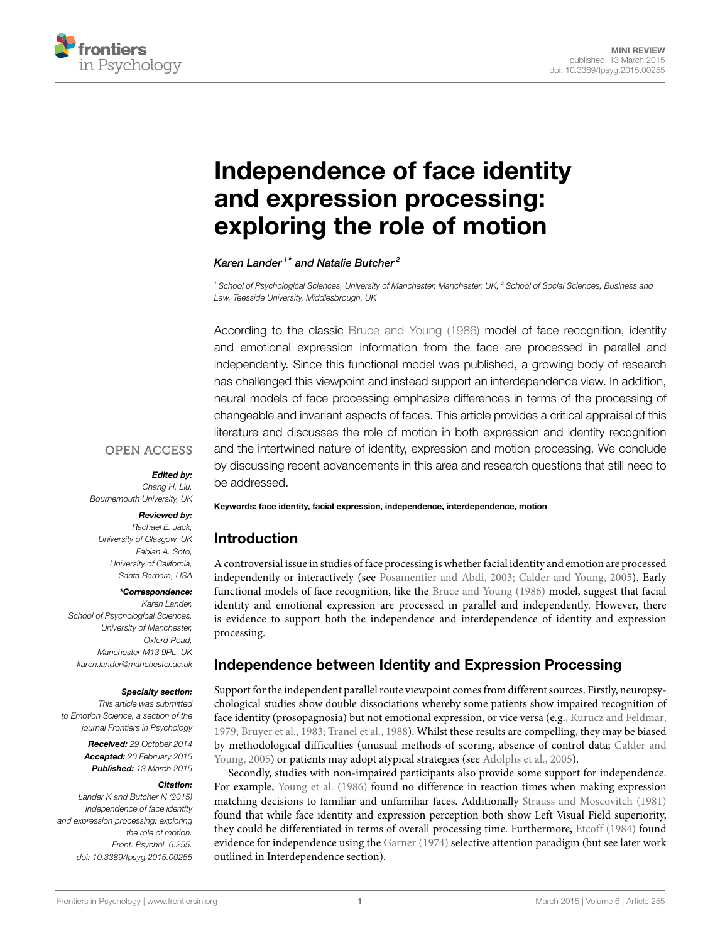

# **[Independence of face identity](http://www.frontiersin.org/Journal/10.3389/fpsyg.2015.00255/abstract) [and expression processing:](http://www.frontiersin.org/Journal/10.3389/fpsyg.2015.00255/abstract) [exploring the role of motion](http://www.frontiersin.org/Journal/10.3389/fpsyg.2015.00255/abstract)**

## *[Karen Lander](http://community.frontiersin.org/people/u/51235) <sup>1</sup>\* and [Natalie Butcher](http://community.frontiersin.org/people/u/196846) <sup>2</sup>*

*<sup>1</sup> School of Psychological Sciences, University of Manchester, Manchester, UK, <sup>2</sup> School of Social Sciences, Business and Law, Teesside University, Middlesbrough, UK*

According to the classic [Bruce and Young \(1986](#page-3-0)) model of face recognition, identity and emotional expression information from the face are processed in parallel and independently. Since this functional model was published, a growing body of research has challenged this viewpoint and instead support an interdependence view. In addition, neural models of face processing emphasize differences in terms of the processing of changeable and invariant aspects of faces. This article provides a critical appraisal of this literature and discusses the role of motion in both expression and identity recognition and the intertwined nature of identity, expression and motion processing. We conclude by discussing recent advancements in this area and research questions that still need to be addressed.

## **OPEN ACCESS**

## *Edited by:*

*Chang H. Liu, Bournemouth University, UK*

### *Reviewed by:*

*Rachael E. Jack, University of Glasgow, UK Fabian A. Soto, University of California, Santa Barbara, USA*

#### *\*Correspondence:*

*Karen Lander, School of Psychological Sciences, University of Manchester, Oxford Road, Manchester M13 9PL, UK [karen.lander@manchester.ac.uk](mailto:karen.lander@manchester.ac.uk)*

#### *Specialty section:*

*This article was submitted to Emotion Science, a section of the journal Frontiers in Psychology*

> *Received: 29 October 2014 Accepted: 20 February 2015 Published: 13 March 2015*

#### *Citation:*

*Lander K and Butcher N (2015) Independence of face identity and expression processing: exploring the role of motion. Front. Psychol. 6:255. [doi: 10.3389/fpsyg.2015.00255](http://dx.doi.org/10.3389/fpsyg.2015.00255)*

**Keywords: face identity, facial expression, independence, interdependence, motion**

## **Introduction**

A controversial issue in studies of face processing is whether facial identity and emotion are processed independently or interactively (see [Posamentier and Abdi](#page-5-0), [2003;](#page-5-0) [Calder and Young](#page-4-0), [2005\)](#page-4-0). Early functional models of face recognition, like the [Bruce and Young](#page-3-0) ([1986\)](#page-3-0) model, suggest that facial identity and emotional expression are processed in parallel and independently. However, there is evidence to support both the independence and interdependence of identity and expression processing.

# **Independence between Identity and Expression Processing**

Support for the independent parallel route viewpoint comes from different sources. Firstly, neuropsychological studies show double dissociations whereby some patients show impaired recognition of face identity (prosopagnosia) but not emotional expression, or vice versa (e.g., [Kurucz and Feldmar](#page-4-1), [1979](#page-4-1); [Bruyer et al., 1983](#page-3-1); [Tranel et al., 1988](#page-5-1)). Whilst these results are compelling, they may be biased by methodological difficulties (unusual methods of scoring, absence of control data; [Calder and](#page-4-0) [Young](#page-4-0), [2005\)](#page-4-0) or patients may adopt atypical strategies (see [Adolphs et al., 2005](#page-3-2)).

Secondly, studies with non-impaired participants also provide some support for independence. For example, [Young et al. \(1986\)](#page-5-2) found no difference in reaction times when making expression matching decisions to familiar and unfamiliar faces. Additionally [Strauss and Moscovitch](#page-5-3) ([1981\)](#page-5-3) found that while face identity and expression perception both show Left Visual Field superiority, they could be differentiated in terms of overall processing time. Furthermore, [Etcoff](#page-4-2) ([1984\)](#page-4-2) found evidence for independence using the [Garner](#page-4-3) ([1974\)](#page-4-3) selective attention paradigm (but see later work outlined in Interdependence section).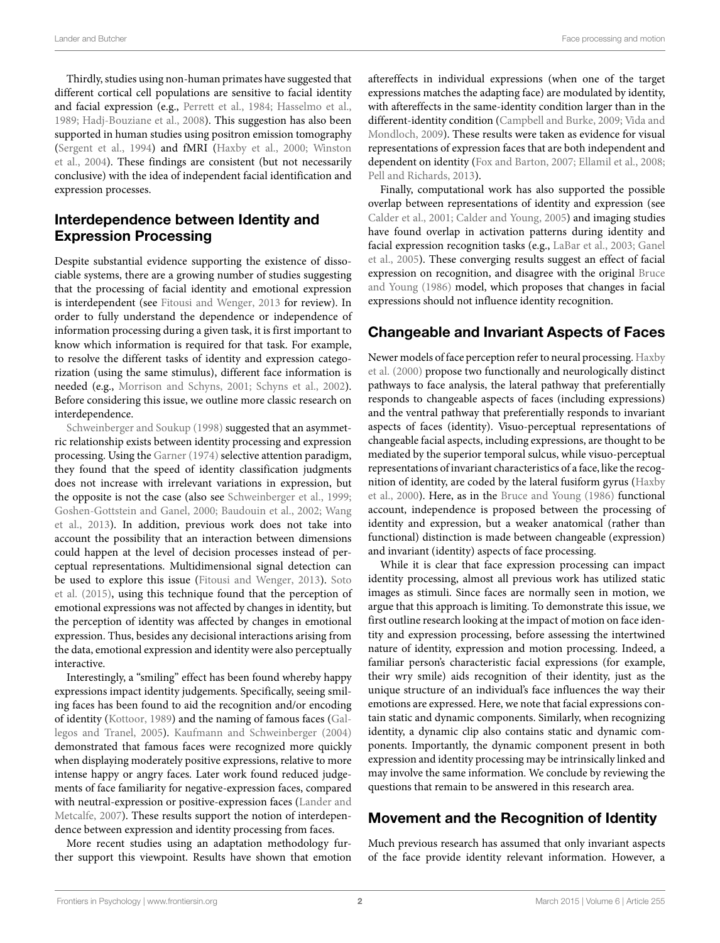Thirdly, studies using non-human primates have suggested that different cortical cell populations are sensitive to facial identity and facial expression (e.g., [Perrett et al., 1984](#page-5-4); [Hasselmo et al.,](#page-4-4) [1989](#page-4-4); [Hadj-Bouziane et al.](#page-4-5), [2008](#page-4-5)). This suggestion has also been supported in human studies using positron emission tomography [\(Sergent et al., 1994](#page-5-5)) and fMRI [\(Haxby et al.](#page-4-6), [2000;](#page-4-6) [Winston](#page-5-6) [et al.](#page-5-6), [2004](#page-5-6)). These findings are consistent (but not necessarily conclusive) with the idea of independent facial identification and expression processes.

# **Interdependence between Identity and Expression Processing**

Despite substantial evidence supporting the existence of dissociable systems, there are a growing number of studies suggesting that the processing of facial identity and emotional expression is interdependent (see [Fitousi and Wenger, 2013](#page-4-7) for review). In order to fully understand the dependence or independence of information processing during a given task, it is first important to know which information is required for that task. For example, to resolve the different tasks of identity and expression categorization (using the same stimulus), different face information is needed (e.g., [Morrison and Schyns](#page-4-8), [2001](#page-4-8); [Schyns et al.](#page-5-7), [2002](#page-5-7)). Before considering this issue, we outline more classic research on interdependence.

[Schweinberger and Soukup \(1998](#page-5-8)) suggested that an asymmetric relationship exists between identity processing and expression processing. Using the [Garner \(1974](#page-4-3)) selective attention paradigm, they found that the speed of identity classification judgments does not increase with irrelevant variations in expression, but the opposite is not the case (also see [Schweinberger et al.](#page-5-9), [1999;](#page-5-9) [Goshen-Gottstein and Ganel](#page-4-9), [2000](#page-4-9); [Baudouin et al.](#page-3-3), [2002](#page-3-3); [Wang](#page-5-10) [et al., 2013\)](#page-5-10). In addition, previous work does not take into account the possibility that an interaction between dimensions could happen at the level of decision processes instead of perceptual representations. Multidimensional signal detection can be used to explore this issue [\(Fitousi and Wenger, 2013\)](#page-4-7). [Soto](#page-5-11) [et al.](#page-5-11) ([2015\)](#page-5-11), using this technique found that the perception of emotional expressions was not affected by changes in identity, but the perception of identity was affected by changes in emotional expression. Thus, besides any decisional interactions arising from the data, emotional expression and identity were also perceptually interactive.

Interestingly, a "smiling" effect has been found whereby happy expressions impact identity judgements. Specifically, seeing smiling faces has been found to aid the recognition and/or encoding of identity([Kottoor](#page-4-10), [1989](#page-4-10)) and the naming of famous faces [\(Gal](#page-4-11)[legos and Tranel](#page-4-11), [2005\)](#page-4-11). [Kaufmann and Schweinberger \(2004\)](#page-4-12) demonstrated that famous faces were recognized more quickly when displaying moderately positive expressions, relative to more intense happy or angry faces. Later work found reduced judgements of face familiarity for negative-expression faces, compared with neutral-expression or positive-expression faces [\(Lander and](#page-4-13) [Metcalfe, 2007\)](#page-4-13). These results support the notion of interdependence between expression and identity processing from faces.

More recent studies using an adaptation methodology further support this viewpoint. Results have shown that emotion aftereffects in individual expressions (when one of the target expressions matches the adapting face) are modulated by identity, with aftereffects in the same-identity condition larger than in the different-identity condition [\(Campbell and Burke, 2009;](#page-4-14) [Vida and](#page-5-12) [Mondloch, 2009\)](#page-5-12). These results were taken as evidence for visual representations of expression faces that are both independent and dependent on identity [\(Fox and Barton, 2007](#page-4-15); [Ellamil et al., 2008](#page-4-16); [Pell and Richards](#page-5-13), [2013\)](#page-5-13).

Finally, computational work has also supported the possible overlap between representations of identity and expression (see [Calder et al.](#page-3-4), [2001;](#page-3-4) [Calder and Young, 2005\)](#page-4-0) and imaging studies have found overlap in activation patterns during identity and facial expression recognition tasks (e.g., [LaBar et al.](#page-4-17), [2003](#page-4-17); [Ganel](#page-4-18) [et al.](#page-4-18), [2005](#page-4-18)). These converging results suggest an effect of facial expression on recognition, and disagree with the original [Bruce](#page-3-0) [and Young \(1986](#page-3-0)) model, which proposes that changes in facial expressions should not influence identity recognition.

# **Changeable and Invariant Aspects of Faces**

Newer models of face perception refer to neural processing. [Haxby](#page-4-6) [et al.](#page-4-6) ([2000](#page-4-6)) propose two functionally and neurologically distinct pathways to face analysis, the lateral pathway that preferentially responds to changeable aspects of faces (including expressions) and the ventral pathway that preferentially responds to invariant aspects of faces (identity). Visuo-perceptual representations of changeable facial aspects, including expressions, are thought to be mediated by the superior temporal sulcus, while visuo-perceptual representations of invariant characteristics of a face, like the recognition of identity, are coded by the lateral fusiform gyrus([Haxby](#page-4-6) [et al.](#page-4-6), [2000](#page-4-6)). Here, as in the [Bruce and Young](#page-3-0) ([1986\)](#page-3-0) functional account, independence is proposed between the processing of identity and expression, but a weaker anatomical (rather than functional) distinction is made between changeable (expression) and invariant (identity) aspects of face processing.

While it is clear that face expression processing can impact identity processing, almost all previous work has utilized static images as stimuli. Since faces are normally seen in motion, we argue that this approach is limiting. To demonstrate this issue, we first outline research looking at the impact of motion on face identity and expression processing, before assessing the intertwined nature of identity, expression and motion processing. Indeed, a familiar person's characteristic facial expressions (for example, their wry smile) aids recognition of their identity, just as the unique structure of an individual's face influences the way their emotions are expressed. Here, we note that facial expressions contain static and dynamic components. Similarly, when recognizing identity, a dynamic clip also contains static and dynamic components. Importantly, the dynamic component present in both expression and identity processing may be intrinsically linked and may involve the same information. We conclude by reviewing the questions that remain to be answered in this research area.

# **Movement and the Recognition of Identity**

Much previous research has assumed that only invariant aspects of the face provide identity relevant information. However, a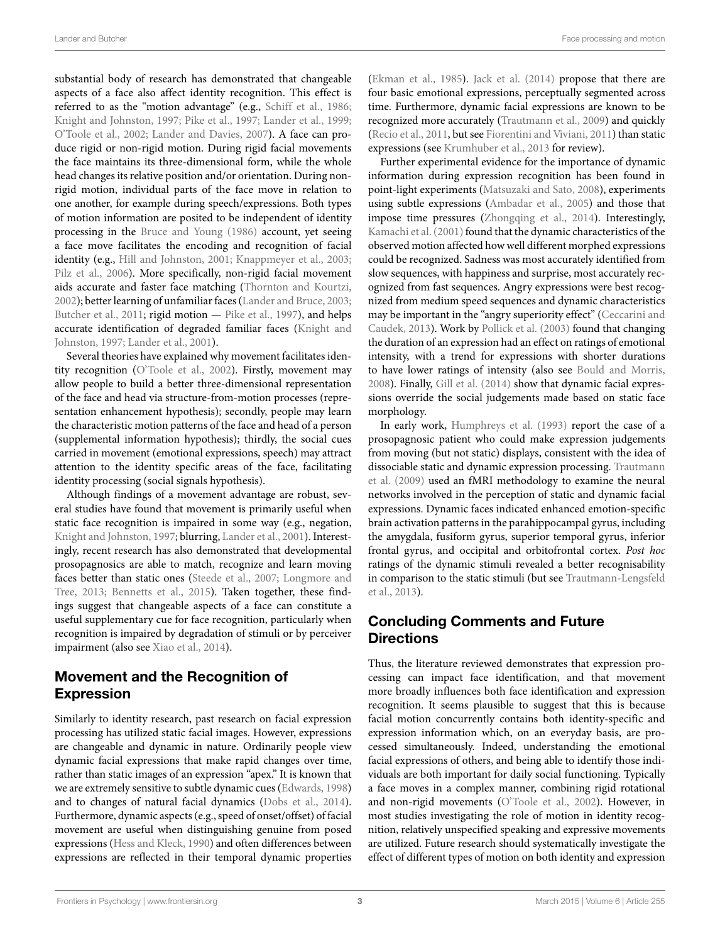substantial body of research has demonstrated that changeable aspects of a face also affect identity recognition. This effect is referred to as the "motion advantage" (e.g., [Schiff et al., 1986;](#page-5-14) [Knight and Johnston, 1997;](#page-4-19) [Pike et al.](#page-5-15), [1997;](#page-5-15) [Lander et al., 1999;](#page-4-20) [O'Toole et al.](#page-4-21), [2002](#page-4-21); [Lander and Davies](#page-4-22), [2007\)](#page-4-22). A face can produce rigid or non-rigid motion. During rigid facial movements the face maintains its three-dimensional form, while the whole head changes its relative position and/or orientation. During nonrigid motion, individual parts of the face move in relation to one another, for example during speech/expressions. Both types of motion information are posited to be independent of identity processing in the [Bruce and Young \(1986](#page-3-0)) account, yet seeing a face move facilitates the encoding and recognition of facial identity (e.g., [Hill and Johnston, 2001](#page-4-23); [Knappmeyer et al.](#page-4-24), [2003;](#page-4-24) [Pilz et al.](#page-5-16), [2006](#page-5-16)). More specifically, non-rigid facial movement aids accurate and faster face matching([Thornton and Kourtzi,](#page-5-17) [2002](#page-5-17)); better learning of unfamiliar faces [\(Lander and Bruce, 2003;](#page-4-25) [Butcher et al., 2011;](#page-3-5) rigid motion — [Pike et al.](#page-5-15), [1997](#page-5-15)), and helps accurate identification of degraded familiar faces [\(Knight and](#page-4-19) [Johnston](#page-4-19), [1997;](#page-4-19) [Lander et al., 2001](#page-4-26)).

Several theories have explained why movement facilitates identity recognition([O'Toole et al., 2002](#page-4-21)). Firstly, movement may allow people to build a better three-dimensional representation of the face and head via structure-from-motion processes (representation enhancement hypothesis); secondly, people may learn the characteristic motion patterns of the face and head of a person (supplemental information hypothesis); thirdly, the social cues carried in movement (emotional expressions, speech) may attract attention to the identity specific areas of the face, facilitating identity processing (social signals hypothesis).

Although findings of a movement advantage are robust, several studies have found that movement is primarily useful when static face recognition is impaired in some way (e.g., negation, [Knight and Johnston, 1997;](#page-4-19) blurring, [Lander et al., 2001\)](#page-4-26). Interestingly, recent research has also demonstrated that developmental prosopagnosics are able to match, recognize and learn moving faces better than static ones [\(Steede et al.](#page-5-18), [2007;](#page-5-18) [Longmore and](#page-4-27) [Tree, 2013](#page-4-27); [Bennetts et al., 2015](#page-3-6)). Taken together, these findings suggest that changeable aspects of a face can constitute a useful supplementary cue for face recognition, particularly when recognition is impaired by degradation of stimuli or by perceiver impairment (also see [Xiao et al.](#page-5-19), [2014\)](#page-5-19).

# **Movement and the Recognition of Expression**

Similarly to identity research, past research on facial expression processing has utilized static facial images. However, expressions are changeable and dynamic in nature. Ordinarily people view dynamic facial expressions that make rapid changes over time, rather than static images of an expression "apex." It is known that we are extremely sensitive to subtle dynamic cues([Edwards, 1998\)](#page-4-28) and to changes of natural facial dynamics([Dobs et al.](#page-4-29), [2014](#page-4-29)). Furthermore, dynamic aspects (e.g., speed of onset/offset) of facial movement are useful when distinguishing genuine from posed expressions([Hess and Kleck](#page-4-30), [1990](#page-4-30)) and often differences between expressions are reflected in their temporal dynamic properties ([Ekman et al.](#page-4-31), [1985](#page-4-31)). [Jack et al. \(2014\)](#page-4-32) propose that there are four basic emotional expressions, perceptually segmented across time. Furthermore, dynamic facial expressions are known to be recognized more accurately([Trautmann et al.](#page-5-20), [2009](#page-5-20)) and quickly ([Recio et al.](#page-5-21), [2011](#page-5-21), but see [Fiorentini and Viviani](#page-4-33), [2011](#page-4-33)) than static expressions (see [Krumhuber et al.](#page-4-34), [2013](#page-4-34) for review).

Further experimental evidence for the importance of dynamic information during expression recognition has been found in point-light experiments([Matsuzaki and Sato](#page-4-35), [2008\)](#page-4-35), experiments using subtle expressions([Ambadar et al.](#page-3-7), [2005\)](#page-3-7) and those that impose time pressures([Zhongqing et al., 2014](#page-5-22)). Interestingly, [Kamachi et al.](#page-4-36) ([2001](#page-4-36)) found that the dynamic characteristics of the observed motion affected how well different morphed expressions could be recognized. Sadness was most accurately identified from slow sequences, with happiness and surprise, most accurately recognized from fast sequences. Angry expressions were best recognized from medium speed sequences and dynamic characteristics may be important in the "angry superiority effect"([Ceccarini and](#page-4-37) [Caudek, 2013](#page-4-37)). Work by [Pollick et al.](#page-5-23) ([2003](#page-5-23)) found that changing the duration of an expression had an effect on ratings of emotional intensity, with a trend for expressions with shorter durations to have lower ratings of intensity (also see [Bould and Morris](#page-3-8), [2008\)](#page-3-8). Finally, [Gill et al. \(2014](#page-4-38)) show that dynamic facial expressions override the social judgements made based on static face morphology.

In early work, [Humphreys et al.](#page-4-39) ([1993\)](#page-4-39) report the case of a prosopagnosic patient who could make expression judgements from moving (but not static) displays, consistent with the idea of dissociable static and dynamic expression processing. [Trautmann](#page-5-20) [et al.](#page-5-20) ([2009\)](#page-5-20) used an fMRI methodology to examine the neural networks involved in the perception of static and dynamic facial expressions. Dynamic faces indicated enhanced emotion-specific brain activation patterns in the parahippocampal gyrus, including the amygdala, fusiform gyrus, superior temporal gyrus, inferior frontal gyrus, and occipital and orbitofrontal cortex. *Post hoc* ratings of the dynamic stimuli revealed a better recognisability in comparison to the static stimuli (but see [Trautmann-Lengsfeld](#page-5-24) [et al.](#page-5-24), [2013\)](#page-5-24).

# **Concluding Comments and Future Directions**

Thus, the literature reviewed demonstrates that expression processing can impact face identification, and that movement more broadly influences both face identification and expression recognition. It seems plausible to suggest that this is because facial motion concurrently contains both identity-specific and expression information which, on an everyday basis, are processed simultaneously. Indeed, understanding the emotional facial expressions of others, and being able to identify those individuals are both important for daily social functioning. Typically a face moves in a complex manner, combining rigid rotational and non-rigid movements([O'Toole et al., 2002](#page-4-21)). However, in most studies investigating the role of motion in identity recognition, relatively unspecified speaking and expressive movements are utilized. Future research should systematically investigate the effect of different types of motion on both identity and expression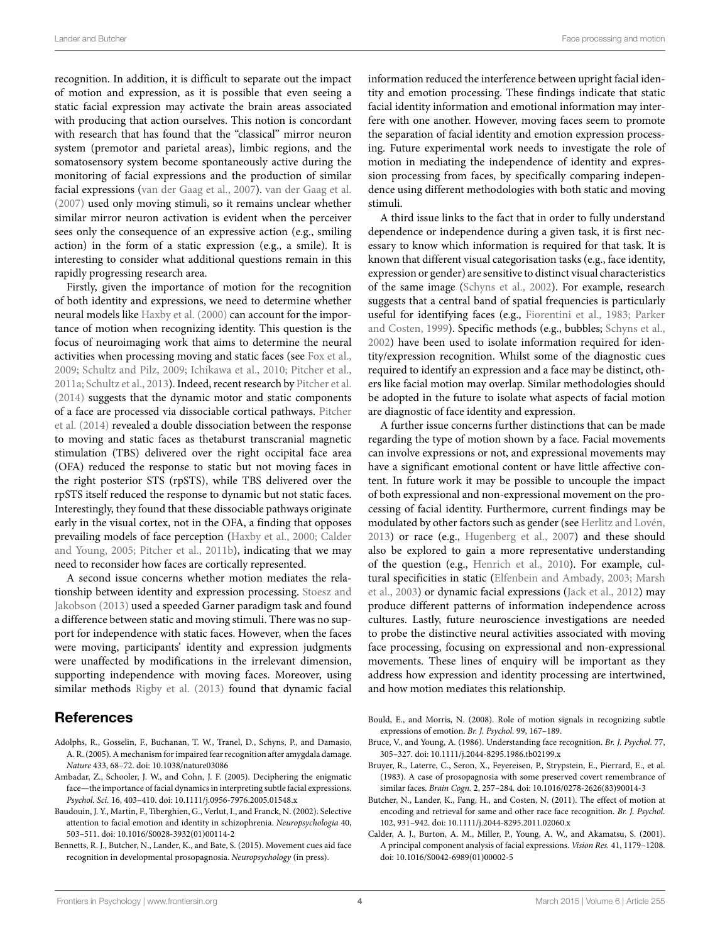recognition. In addition, it is difficult to separate out the impact of motion and expression, as it is possible that even seeing a static facial expression may activate the brain areas associated with producing that action ourselves. This notion is concordant with research that has found that the "classical" mirror neuron system (premotor and parietal areas), limbic regions, and the somatosensory system become spontaneously active during the monitoring of facial expressions and the production of similar facial expressions [\(van der Gaag et al., 2007](#page-5-25)). [van der Gaag et al.](#page-5-25) [\(2007\)](#page-5-25) used only moving stimuli, so it remains unclear whether similar mirror neuron activation is evident when the perceiver sees only the consequence of an expressive action (e.g., smiling action) in the form of a static expression (e.g., a smile). It is interesting to consider what additional questions remain in this rapidly progressing research area.

Firstly, given the importance of motion for the recognition of both identity and expressions, we need to determine whether neural models like [Haxby et al. \(2000\)](#page-4-6) can account for the importance of motion when recognizing identity. This question is the focus of neuroimaging work that aims to determine the neural activities when processing moving and static faces (see [Fox et al.,](#page-4-40) [2009](#page-4-40); [Schultz and Pilz, 2009;](#page-5-26) [Ichikawa et al., 2010;](#page-4-41) [Pitcher et al.,](#page-5-27) [2011a](#page-5-27); [Schultz et al., 2013](#page-5-28)). Indeed, recent research by [Pitcher et al.](#page-5-29) [\(2014\)](#page-5-29) suggests that the dynamic motor and static components of a face are processed via dissociable cortical pathways. [Pitcher](#page-5-29) [et al.](#page-5-29) ([2014](#page-5-29)) revealed a double dissociation between the response to moving and static faces as thetaburst transcranial magnetic stimulation (TBS) delivered over the right occipital face area (OFA) reduced the response to static but not moving faces in the right posterior STS (rpSTS), while TBS delivered over the rpSTS itself reduced the response to dynamic but not static faces. Interestingly, they found that these dissociable pathways originate early in the visual cortex, not in the OFA, a finding that opposes prevailing models of face perception [\(Haxby et al.](#page-4-6), [2000](#page-4-6); [Calder](#page-4-0) [and Young, 2005](#page-4-0); [Pitcher et al., 2011b\)](#page-5-30), indicating that we may need to reconsider how faces are cortically represented.

A second issue concerns whether motion mediates the relationship between identity and expression processing. [Stoesz and](#page-5-31) [Jakobson \(2013](#page-5-31)) used a speeded Garner paradigm task and found a difference between static and moving stimuli. There was no support for independence with static faces. However, when the faces were moving, participants' identity and expression judgments were unaffected by modifications in the irrelevant dimension, supporting independence with moving faces. Moreover, using similar methods [Rigby et al. \(2013](#page-5-32)) found that dynamic facial

## **References**

- <span id="page-3-2"></span>Adolphs, R., Gosselin, F., Buchanan, T. W., Tranel, D., Schyns, P., and Damasio, A. R. (2005). A mechanism for impaired fear recognition after amygdala damage. *Nature* 433, 68–72. doi: 10.1038/nature03086
- <span id="page-3-7"></span>Ambadar, Z., Schooler, J. W., and Cohn, J. F. (2005). Deciphering the enigmatic face—the importance of facial dynamics in interpreting subtle facial expressions. *Psychol. Sci.* 16, 403–410. doi: 10.1111/j.0956-7976.2005.01548.x
- <span id="page-3-3"></span>Baudouin, J. Y., Martin, F., Tiberghien, G., Verlut, I., and Franck, N. (2002). Selective attention to facial emotion and identity in schizophrenia. *Neuropsychologia* 40, 503–511. doi: 10.1016/S0028-3932(01)00114-2
- <span id="page-3-6"></span>Bennetts, R. J., Butcher, N., Lander, K., and Bate, S. (2015). Movement cues aid face recognition in developmental prosopagnosia. *Neuropsychology* (in press).

information reduced the interference between upright facial identity and emotion processing. These findings indicate that static facial identity information and emotional information may interfere with one another. However, moving faces seem to promote the separation of facial identity and emotion expression processing. Future experimental work needs to investigate the role of motion in mediating the independence of identity and expression processing from faces, by specifically comparing independence using different methodologies with both static and moving stimuli.

A third issue links to the fact that in order to fully understand dependence or independence during a given task, it is first necessary to know which information is required for that task. It is known that different visual categorisation tasks (e.g., face identity, expression or gender) are sensitive to distinct visual characteristics of the same image [\(Schyns et al.](#page-5-7), [2002](#page-5-7)). For example, research suggests that a central band of spatial frequencies is particularly useful for identifying faces (e.g., [Fiorentini et al.](#page-4-42), [1983;](#page-4-42) [Parker](#page-4-43) [and Costen, 1999\)](#page-4-43). Specific methods (e.g., bubbles; [Schyns et al.](#page-5-7), [2002\)](#page-5-7) have been used to isolate information required for identity/expression recognition. Whilst some of the diagnostic cues required to identify an expression and a face may be distinct, others like facial motion may overlap. Similar methodologies should be adopted in the future to isolate what aspects of facial motion are diagnostic of face identity and expression.

A further issue concerns further distinctions that can be made regarding the type of motion shown by a face. Facial movements can involve expressions or not, and expressional movements may have a significant emotional content or have little affective content. In future work it may be possible to uncouple the impact of both expressional and non-expressional movement on the processing of facial identity. Furthermore, current findings may be modulated by other factors such as gender (see [Herlitz and Lovén](#page-4-44), [2013\)](#page-4-44) or race (e.g., [Hugenberg et al., 2007](#page-4-45)) and these should also be explored to gain a more representative understanding of the question (e.g., [Henrich et al.](#page-4-46), [2010\)](#page-4-46). For example, cultural specificities in static([Elfenbein and Ambady, 2003;](#page-4-47) [Marsh](#page-4-48) [et al., 2003](#page-4-48)) or dynamic facial expressions [\(Jack et al.](#page-4-49), [2012](#page-4-49)) may produce different patterns of information independence across cultures. Lastly, future neuroscience investigations are needed to probe the distinctive neural activities associated with moving face processing, focusing on expressional and non-expressional movements. These lines of enquiry will be important as they address how expression and identity processing are intertwined, and how motion mediates this relationship.

- <span id="page-3-8"></span>Bould, E., and Morris, N. (2008). Role of motion signals in recognizing subtle expressions of emotion. *Br. J. Psychol.* 99, 167–189.
- <span id="page-3-0"></span>Bruce, V., and Young, A. (1986). Understanding face recognition. *Br. J. Psychol.* 77, 305–327. doi: 10.1111/j.2044-8295.1986.tb02199.x
- <span id="page-3-1"></span>Bruyer, R., Laterre, C., Seron, X., Feyereisen, P., Strypstein, E., Pierrard, E., et al. (1983). A case of prosopagnosia with some preserved covert remembrance of similar faces. *Brain Cogn.* 2, 257–284. doi: 10.1016/0278-2626(83)90014-3
- <span id="page-3-5"></span>Butcher, N., Lander, K., Fang, H., and Costen, N. (2011). The effect of motion at encoding and retrieval for same and other race face recognition. *Br. J. Psychol.* 102, 931–942. doi: 10.1111/j.2044-8295.2011.02060.x
- <span id="page-3-4"></span>Calder, A. J., Burton, A. M., Miller, P., Young, A. W., and Akamatsu, S. (2001). A principal component analysis of facial expressions. *Vision Res.* 41, 1179–1208. doi: 10.1016/S0042-6989(01)00002-5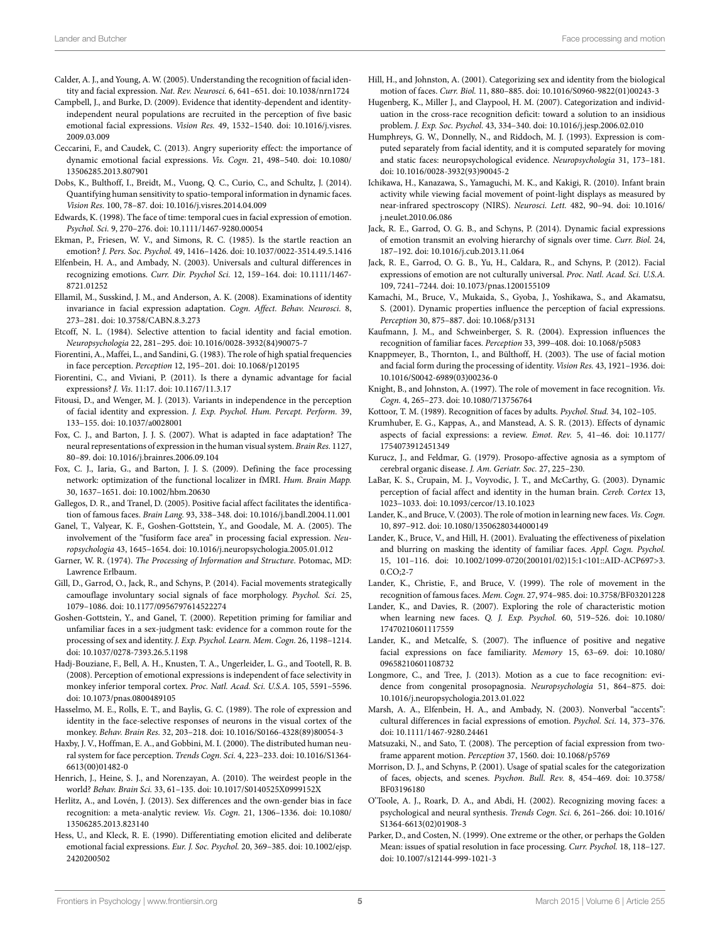- <span id="page-4-0"></span>Calder, A. J., and Young, A. W. (2005). Understanding the recognition of facial identity and facial expression. *Nat. Rev. Neurosci.* 6, 641–651. doi: 10.1038/nrn1724
- <span id="page-4-14"></span>Campbell, J., and Burke, D. (2009). Evidence that identity-dependent and identityindependent neural populations are recruited in the perception of five basic emotional facial expressions. *Vision Res.* 49, 1532–1540. doi: 10.1016/j.visres. 2009.03.009
- <span id="page-4-37"></span>Ceccarini, F., and Caudek, C. (2013). Angry superiority effect: the importance of dynamic emotional facial expressions. *Vis. Cogn.* 21, 498–540. doi: 10.1080/ 13506285.2013.807901
- <span id="page-4-29"></span>Dobs, K., Bulthoff, I., Breidt, M., Vuong, Q. C., Curio, C., and Schultz, J. (2014). Quantifying human sensitivity to spatio-temporal information in dynamic faces. *Vision Res.* 100, 78–87. doi: 10.1016/j.visres.2014.04.009
- <span id="page-4-28"></span>Edwards, K. (1998). The face of time: temporal cues in facial expression of emotion. *Psychol. Sci.* 9, 270–276. doi: 10.1111/1467-9280.00054
- <span id="page-4-31"></span>Ekman, P., Friesen, W. V., and Simons, R. C. (1985). Is the startle reaction an emotion? *J. Pers. Soc. Psychol.* 49, 1416–1426. doi: 10.1037/0022-3514.49.5.1416
- <span id="page-4-47"></span>Elfenbein, H. A., and Ambady, N. (2003). Universals and cultural differences in recognizing emotions. *Curr. Dir. Psychol Sci.* 12, 159–164. doi: 10.1111/1467- 8721.01252
- <span id="page-4-16"></span>Ellamil, M., Susskind, J. M., and Anderson, A. K. (2008). Examinations of identity invariance in facial expression adaptation. *Cogn. Affect. Behav. Neurosci.* 8, 273–281. doi: 10.3758/CABN.8.3.273
- <span id="page-4-2"></span>Etcoff, N. L. (1984). Selective attention to facial identity and facial emotion. *Neuropsychologia* 22, 281–295. doi: 10.1016/0028-3932(84)90075-7
- <span id="page-4-42"></span>Fiorentini, A., Maffei, L., and Sandini, G. (1983). The role of high spatial frequencies in face perception. *Perception* 12, 195–201. doi: 10.1068/p120195
- <span id="page-4-33"></span>Fiorentini, C., and Viviani, P. (2011). Is there a dynamic advantage for facial expressions? *J. Vis.* 11:17. doi: 10.1167/11.3.17
- <span id="page-4-7"></span>Fitousi, D., and Wenger, M. J. (2013). Variants in independence in the perception of facial identity and expression. *J. Exp. Psychol. Hum. Percept. Perform.* 39, 133–155. doi: 10.1037/a0028001
- <span id="page-4-15"></span>Fox, C. J., and Barton, J. J. S. (2007). What is adapted in face adaptation? The neural representations of expression in the human visual system. *Brain Res.* 1127, 80–89. doi: 10.1016/j.brainres.2006.09.104
- <span id="page-4-40"></span>Fox, C. J., Iaria, G., and Barton, J. J. S. (2009). Defining the face processing network: optimization of the functional localizer in fMRI. *Hum. Brain Mapp.* 30, 1637–1651. doi: 10.1002/hbm.20630
- <span id="page-4-11"></span>Gallegos, D. R., and Tranel, D. (2005). Positive facial affect facilitates the identification of famous faces. *Brain Lang.* 93, 338–348. doi: 10.1016/j.bandl.2004.11.001
- <span id="page-4-18"></span>Ganel, T., Valyear, K. F., Goshen-Gottstein, Y., and Goodale, M. A. (2005). The involvement of the "fusiform face area" in processing facial expression. *Neuropsychologia* 43, 1645–1654. doi: 10.1016/j.neuropsychologia.2005.01.012
- <span id="page-4-3"></span>Garner, W. R. (1974). *The Processing of Information and Structure*. Potomac, MD: Lawrence Erlbaum.
- <span id="page-4-38"></span>Gill, D., Garrod, O., Jack, R., and Schyns, P. (2014). Facial movements strategically camouflage involuntary social signals of face morphology. *Psychol. Sci.* 25, 1079–1086. doi: 10.1177/0956797614522274
- <span id="page-4-9"></span>Goshen-Gottstein, Y., and Ganel, T. (2000). Repetition priming for familiar and unfamiliar faces in a sex-judgment task: evidence for a common route for the processing of sex and identity. *J. Exp. Psychol. Learn. Mem. Cogn.* 26, 1198–1214. doi: 10.1037/0278-7393.26.5.1198
- <span id="page-4-5"></span>Hadj-Bouziane, F., Bell, A. H., Knusten, T. A., Ungerleider, L. G., and Tootell, R. B. (2008). Perception of emotional expressions is independent of face selectivity in monkey inferior temporal cortex. *Proc. Natl. Acad. Sci. U.S.A.* 105, 5591–5596. doi: 10.1073/pnas.0800489105
- <span id="page-4-4"></span>Hasselmo, M. E., Rolls, E. T., and Baylis, G. C. (1989). The role of expression and identity in the face-selective responses of neurons in the visual cortex of the monkey. *Behav. Brain Res.* 32, 203–218. doi: 10.1016/S0166-4328(89)80054-3
- <span id="page-4-6"></span>Haxby, J. V., Hoffman, E. A., and Gobbini, M. I. (2000). The distributed human neural system for face perception. *Trends Cogn. Sci.* 4, 223–233. doi: 10.1016/S1364- 6613(00)01482-0
- <span id="page-4-46"></span>Henrich, J., Heine, S. J., and Norenzayan, A. (2010). The weirdest people in the world? *Behav. Brain Sci.* 33, 61–135. doi: 10.1017/S0140525X0999152X
- <span id="page-4-44"></span>Herlitz, A., and Lovén, J. (2013). Sex differences and the own-gender bias in face recognition: a meta-analytic review. *Vis. Cogn.* 21, 1306–1336. doi: 10.1080/ 13506285.2013.823140
- <span id="page-4-30"></span>Hess, U., and Kleck, R. E. (1990). Differentiating emotion elicited and deliberate emotional facial expressions. *Eur. J. Soc. Psychol.* 20, 369–385. doi: 10.1002/ejsp. 2420200502
- <span id="page-4-23"></span>Hill, H., and Johnston, A. (2001). Categorizing sex and identity from the biological motion of faces. *Curr. Biol.* 11, 880–885. doi: 10.1016/S0960-9822(01)00243-3
- <span id="page-4-45"></span>Hugenberg, K., Miller J., and Claypool, H. M. (2007). Categorization and individuation in the cross-race recognition deficit: toward a solution to an insidious problem. *J. Exp. Soc. Psychol.* 43, 334–340. doi: 10.1016/j.jesp.2006.02.010
- <span id="page-4-39"></span>Humphreys, G. W., Donnelly, N., and Riddoch, M. J. (1993). Expression is computed separately from facial identity, and it is computed separately for moving and static faces: neuropsychological evidence. *Neuropsychologia* 31, 173–181. doi: 10.1016/0028-3932(93)90045-2
- <span id="page-4-41"></span>Ichikawa, H., Kanazawa, S., Yamaguchi, M. K., and Kakigi, R. (2010). Infant brain activity while viewing facial movement of point-light displays as measured by near-infrared spectroscopy (NIRS). *Neurosci. Lett.* 482, 90–94. doi: 10.1016/ j.neulet.2010.06.086
- <span id="page-4-32"></span>Jack, R. E., Garrod, O. G. B., and Schyns, P. (2014). Dynamic facial expressions of emotion transmit an evolving hierarchy of signals over time. *Curr. Biol.* 24, 187–192. doi: 10.1016/j.cub.2013.11.064
- <span id="page-4-49"></span>Jack, R. E., Garrod, O. G. B., Yu, H., Caldara, R., and Schyns, P. (2012). Facial expressions of emotion are not culturally universal. *Proc. Natl. Acad. Sci. U.S.A.* 109, 7241–7244. doi: 10.1073/pnas.1200155109
- <span id="page-4-36"></span>Kamachi, M., Bruce, V., Mukaida, S., Gyoba, J., Yoshikawa, S., and Akamatsu, S. (2001). Dynamic properties influence the perception of facial expressions. *Perception* 30, 875–887. doi: 10.1068/p3131
- <span id="page-4-12"></span>Kaufmann, J. M., and Schweinberger, S. R. (2004). Expression influences the recognition of familiar faces. *Perception* 33, 399–408. doi: 10.1068/p5083
- <span id="page-4-24"></span>Knappmeyer, B., Thornton, I., and Bülthoff, H. (2003). The use of facial motion and facial form during the processing of identity. *Vision Res.* 43, 1921–1936. doi: 10.1016/S0042-6989(03)00236-0
- <span id="page-4-19"></span>Knight, B., and Johnston, A. (1997). The role of movement in face recognition. *Vis. Cogn.* 4, 265–273. doi: 10.1080/713756764
- <span id="page-4-10"></span>Kottoor, T. M. (1989). Recognition of faces by adults. *Psychol. Stud.* 34, 102–105.
- <span id="page-4-34"></span>Krumhuber, E. G., Kappas, A., and Manstead, A. S. R. (2013). Effects of dynamic aspects of facial expressions: a review. *Emot. Rev.* 5, 41–46. doi: 10.1177/ 1754073912451349
- <span id="page-4-1"></span>Kurucz, J., and Feldmar, G. (1979). Prosopo-affective agnosia as a symptom of cerebral organic disease. *J. Am. Geriatr. Soc.* 27, 225–230.
- <span id="page-4-17"></span>LaBar, K. S., Crupain, M. J., Voyvodic, J. T., and McCarthy, G. (2003). Dynamic perception of facial affect and identity in the human brain. *Cereb. Cortex* 13, 1023–1033. doi: 10.1093/cercor/13.10.1023
- <span id="page-4-25"></span>Lander, K., and Bruce, V. (2003). The role of motion in learning new faces. *Vis. Cogn.* 10, 897–912. doi: 10.1080/13506280344000149
- <span id="page-4-26"></span>Lander, K., Bruce, V., and Hill, H. (2001). Evaluating the effectiveness of pixelation and blurring on masking the identity of familiar faces. *Appl. Cogn. Psychol.* 15, 101–116. doi: 10.1002/1099-0720(200101/02)15:1<101::AID-ACP697>3. 0.CO;2-7
- <span id="page-4-20"></span>Lander, K., Christie, F., and Bruce, V. (1999). The role of movement in the recognition of famous faces. *Mem. Cogn.* 27, 974–985. doi: 10.3758/BF03201228
- <span id="page-4-22"></span>Lander, K., and Davies, R. (2007). Exploring the role of characteristic motion when learning new faces. *Q. J. Exp. Psychol.* 60, 519–526. doi: 10.1080/ 17470210601117559
- <span id="page-4-13"></span>Lander, K., and Metcalfe, S. (2007). The influence of positive and negative facial expressions on face familiarity. *Memory* 15, 63–69. doi: 10.1080/ 09658210601108732
- <span id="page-4-27"></span>Longmore, C., and Tree, J. (2013). Motion as a cue to face recognition: evidence from congenital prosopagnosia. *Neuropsychologia* 51, 864–875. doi: 10.1016/j.neuropsychologia.2013.01.022
- <span id="page-4-48"></span>Marsh, A. A., Elfenbein, H. A., and Ambady, N. (2003). Nonverbal "accents": cultural differences in facial expressions of emotion. *Psychol. Sci.* 14, 373–376. doi: 10.1111/1467-9280.24461
- <span id="page-4-35"></span>Matsuzaki, N., and Sato, T. (2008). The perception of facial expression from twoframe apparent motion. *Perception* 37, 1560. doi: 10.1068/p5769
- <span id="page-4-8"></span>Morrison, D. J., and Schyns, P. (2001). Usage of spatial scales for the categorization of faces, objects, and scenes. *Psychon. Bull. Rev.* 8, 454–469. doi: 10.3758/ BF03196180
- <span id="page-4-21"></span>O'Toole, A. J., Roark, D. A., and Abdi, H. (2002). Recognizing moving faces: a psychological and neural synthesis. *Trends Cogn. Sci.* 6, 261–266. doi: 10.1016/ S1364-6613(02)01908-3
- <span id="page-4-43"></span>Parker, D., and Costen, N. (1999). One extreme or the other, or perhaps the Golden Mean: issues of spatial resolution in face processing. *Curr. Psychol.* 18, 118–127. doi: 10.1007/s12144-999-1021-3